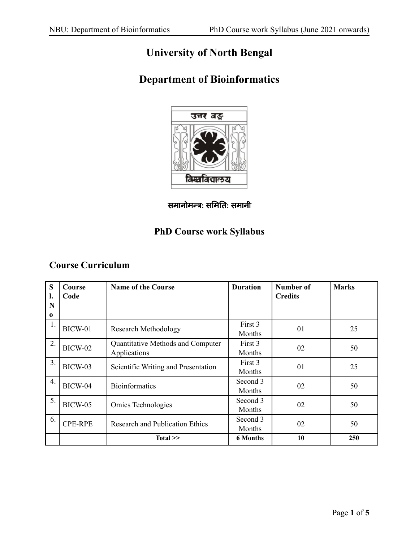# **University of North Bengal**

# **Department of Bioinformatics**



समानोमन्त्र**:** समि ति **:** समानी

# **PhD Course work Syllabus**

# **Course Curriculum**

| S<br>l.       | Course<br>Code | <b>Name of the Course</b>                         | <b>Duration</b>    | <b>Number of</b><br><b>Credits</b> | <b>Marks</b> |
|---------------|----------------|---------------------------------------------------|--------------------|------------------------------------|--------------|
| N<br>$\bf{0}$ |                |                                                   |                    |                                    |              |
|               | BICW-01        | <b>Research Methodology</b>                       | First 3<br>Months  | 01                                 | 25           |
| 2.            | BICW-02        | Quantitative Methods and Computer<br>Applications | First 3<br>Months  | 02                                 | 50           |
| 3.            | BICW-03        | Scientific Writing and Presentation               | First 3<br>Months  | 01                                 | 25           |
| 4.            | BICW-04        | <b>Bioinformatics</b>                             | Second 3<br>Months | 02                                 | 50           |
| 5.            | <b>BICW-05</b> | Omics Technologies                                | Second 3<br>Months | 02                                 | 50           |
| 6.            | <b>CPE-RPE</b> | <b>Research and Publication Ethics</b>            | Second 3<br>Months | 02                                 | 50           |
|               |                | $Total \ge$                                       | <b>6 Months</b>    | 10                                 | 250          |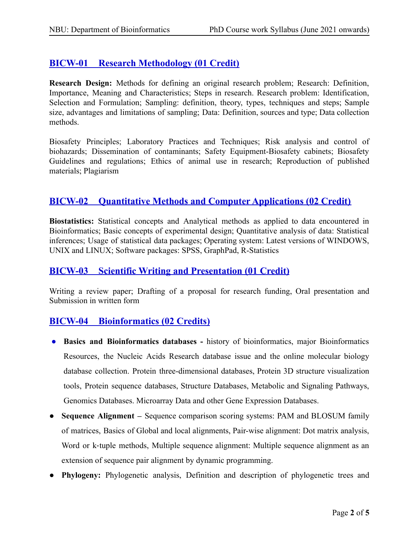## **BICW-01 Research Methodology (01 Credit)**

**Research Design:** Methods for defining an original research problem; Research: Definition, Importance, Meaning and Characteristics; Steps in research. Research problem: Identification, Selection and Formulation; Sampling: definition, theory, types, techniques and steps; Sample size, advantages and limitations of sampling; Data: Definition, sources and type; Data collection methods.

Biosafety Principles; Laboratory Practices and Techniques; Risk analysis and control of biohazards; Dissemination of contaminants; Safety Equipment-Biosafety cabinets; Biosafety Guidelines and regulations; Ethics of animal use in research; Reproduction of published materials; Plagiarism

### **BICW-02 Quantitative Methods and Computer Applications (02 Credit)**

**Biostatistics:** Statistical concepts and Analytical methods as applied to data encountered in Bioinformatics; Basic concepts of experimental design; Quantitative analysis of data: Statistical inferences; Usage of statistical data packages; Operating system: Latest versions of WINDOWS, UNIX and LINUX; Software packages: SPSS, GraphPad, R-Statistics

### **BICW-03 Scientific Writing and Presentation (01 Credit)**

Writing a review paper; Drafting of a proposal for research funding, Oral presentation and Submission in written form

## **BICW-04 Bioinformatics (02 Credits)**

- **Basics and Bioinformatics databases -** history of bioinformatics, major Bioinformatics Resources, the Nucleic Acids Research database issue and the online molecular biology database collection. Protein three-dimensional databases, Protein 3D structure visualization tools, Protein sequence databases, Structure Databases, Metabolic and Signaling Pathways, Genomics Databases. Microarray Data and other Gene Expression Databases.
- **Sequence Alignment –** Sequence comparison scoring systems: PAM and BLOSUM family of matrices, Basics of Global and local alignments, Pair-wise alignment: Dot matrix analysis, Word or k-tuple methods, Multiple sequence alignment: Multiple sequence alignment as an extension of sequence pair alignment by dynamic programming.
- **Phylogeny:** Phylogenetic analysis, Definition and description of phylogenetic trees and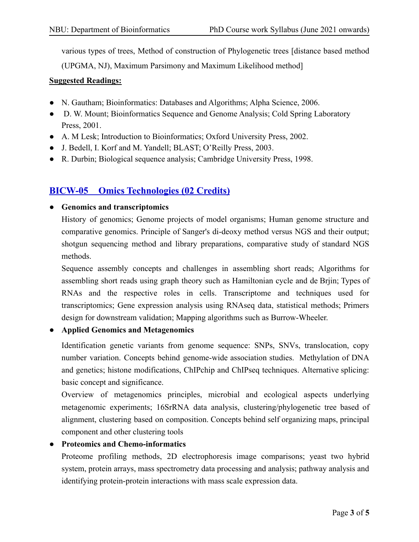various types of trees, Method of construction of Phylogenetic trees [distance based method

(UPGMA, NJ), Maximum Parsimony and Maximum Likelihood method]

### **Suggested Readings:**

- N. Gautham; Bioinformatics: Databases and Algorithms; Alpha Science, 2006.
- D. W. Mount; Bioinformatics Sequence and Genome Analysis; Cold Spring Laboratory Press, 2001.
- A. M Lesk; Introduction to Bioinformatics; Oxford University Press, 2002.
- J. Bedell, I. Korf and M. Yandell; BLAST; O'Reilly Press, 2003.
- R. Durbin; Biological sequence analysis; Cambridge University Press, 1998.

## **BICW-05 Omics Technologies (02 Credits)**

### ● **Genomics and transcriptomics**

History of genomics; Genome projects of model organisms; Human genome structure and comparative genomics. Principle of Sanger's di-deoxy method versus NGS and their output; shotgun sequencing method and library preparations, comparative study of standard NGS methods.

Sequence assembly concepts and challenges in assembling short reads; Algorithms for assembling short reads using graph theory such as Hamiltonian cycle and de Brjin; Types of RNAs and the respective roles in cells. Transcriptome and techniques used for transcriptomics; Gene expression analysis using RNAseq data, statistical methods; Primers design for downstream validation; Mapping algorithms such as Burrow-Wheeler.

### ● **Applied Genomics and Metagenomics**

Identification genetic variants from genome sequence: SNPs, SNVs, translocation, copy number variation. Concepts behind genome-wide association studies. Methylation of DNA and genetics; histone modifications, ChIPchip and ChIPseq techniques. Alternative splicing: basic concept and significance.

Overview of metagenomics principles, microbial and ecological aspects underlying metagenomic experiments; 16SrRNA data analysis, clustering/phylogenetic tree based of alignment, clustering based on composition. Concepts behind self organizing maps, principal component and other clustering tools

### ● **Proteomics and Chemo-informatics**

Proteome profiling methods, 2D electrophoresis image comparisons; yeast two hybrid system, protein arrays, mass spectrometry data processing and analysis; pathway analysis and identifying protein-protein interactions with mass scale expression data.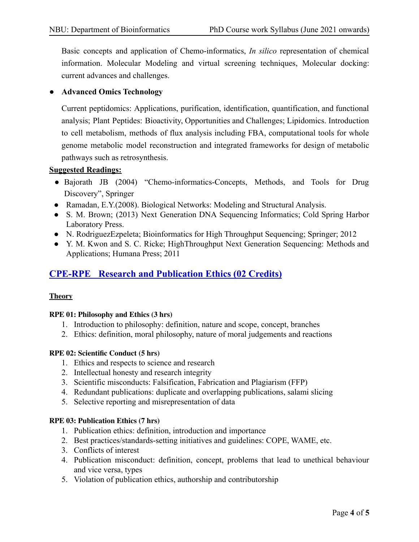Basic concepts and application of Chemo-informatics, *In silico* representation of chemical information. Molecular Modeling and virtual screening techniques, Molecular docking: current advances and challenges.

### ● **Advanced Omics Technology**

Current peptidomics: Applications, purification, identification, quantification, and functional analysis; Plant Peptides: Bioactivity, Opportunities and Challenges; Lipidomics. Introduction to cell metabolism, methods of flux analysis including FBA, computational tools for whole genome metabolic model reconstruction and integrated frameworks for design of metabolic pathways such as retrosynthesis.

### **Suggested Readings:**

- Bajorath JB (2004) "Chemo-informatics-Concepts, Methods, and Tools for Drug Discovery", Springer
- Ramadan, E.Y.(2008). Biological Networks: Modeling and Structural Analysis.
- S. M. Brown; (2013) Next Generation DNA Sequencing Informatics; Cold Spring Harbor Laboratory Press.
- N. RodriguezEzpeleta; Bioinformatics for High Throughput Sequencing; Springer; 2012
- Y. M. Kwon and S. C. Ricke; HighThroughput Next Generation Sequencing: Methods and Applications; Humana Press; 2011

## **CPE-RPE Research and Publication Ethics (02 Credits)**

### **Theory**

#### **RPE 01: Philosophy and Ethics (3 hrs)**

- 1. Introduction to philosophy: definition, nature and scope, concept, branches
- 2. Ethics: definition, moral philosophy, nature of moral judgements and reactions

#### **RPE 02: Scientific Conduct (5 hrs)**

- 1. Ethics and respects to science and research
- 2. Intellectual honesty and research integrity
- 3. Scientific misconducts: Falsification, Fabrication and Plagiarism (FFP)
- 4. Redundant publications: duplicate and overlapping publications, salami slicing
- 5. Selective reporting and misrepresentation of data

#### **RPE 03: Publication Ethics (7 hrs)**

- 1. Publication ethics: definition, introduction and importance
- 2. Best practices/standards-setting initiatives and guidelines: COPE, WAME, etc.
- 3. Conflicts of interest
- 4. Publication misconduct: definition, concept, problems that lead to unethical behaviour and vice versa, types
- 5. Violation of publication ethics, authorship and contributorship